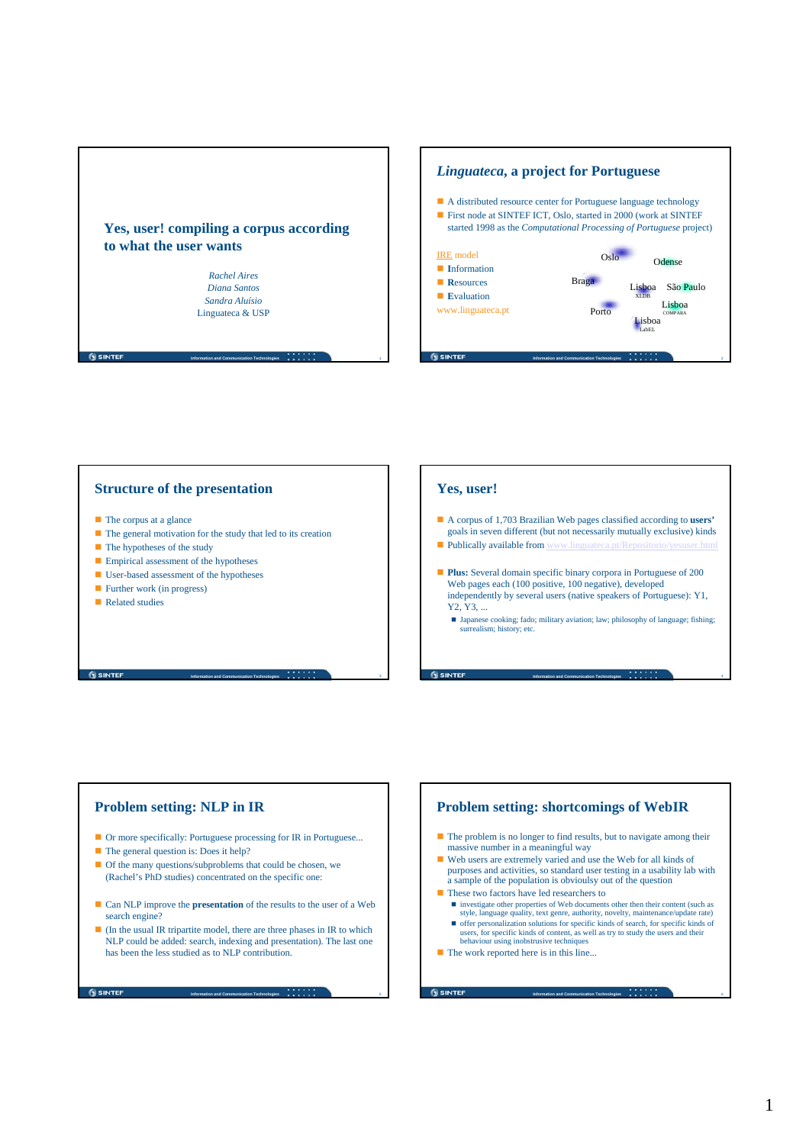

**Information and Communication Technologies** 1

**Information and Communication Technologies** 3



#### **Structure of the presentation**

- $\blacksquare$  The corpus at a glance
- The general motivation for the study that led to its creation
- $\blacksquare$  The hypotheses of the study
- **Empirical assessment of the hypotheses**
- User-based assessment of the hypotheses
- **Further work (in progress)**
- Related studies

**G** SINTEF

### **Yes, user!**

**O SINTER** 

- A corpus of 1,703 Brazilian Web pages classified according to **users'** goals in seven different (but not necessarily mutually exclusive) kinds
- $\blacksquare$  Publically available from www.ling
- **Plus:** Several domain specific binary corpora in Portuguese of 200 Web pages each (100 positive, 100 negative), developed independently by several users (native speakers of Portuguese): Y1, Y2, Y3, ...
	- $\blacksquare$  Japanese cooking; fado; military aviation; law; philosophy of language; fishing; surrealism; history; etc.

**Information and Communication Technologies** 4

**Information and Communication Technologies** 6

**Problem setting: NLP in IR**

- Or more specifically: Portuguese processing for IR in Portuguese...
- The general question is: Does it help?
- Of the many questions/subproblems that could be chosen, we (Rachel's PhD studies) concentrated on the specific one:
- Can NLP improve the **presentation** of the results to the user of a Web search engine?
- $\blacksquare$  (In the usual IR tripartite model, there are three phases in IR to which NLP could be added: search, indexing and presentation). The last one has been the less studied as to NLP contribution.

**Information and Communication Technologies**  $\bullet$   $\bullet$   $\bullet$   $\bullet$   $\bullet$   $\bullet$ 

**SINTER** 

# **Problem setting: shortcomings of WebIR**  $\blacksquare$  The problem is no longer to find results, but to navigate among their massive number in a meaningful way Web users are extremely varied and use the Web for all kinds of purposes and activities, so standard user testing in a usability lab with a sample of the population is obvioulsy out of the question ■ These two factors have led researchers to investigate other properties of Web documents other then their content (such as style, language quality, text genre, authority, novelty, maintenance/update rate) offer personalization solutions for specific kinds of search, for specific kinds of users, for specific kinds of content, as well as try to study the users and their behaviour using inobstrusive technique  $\blacksquare$  The work reported here is in this line...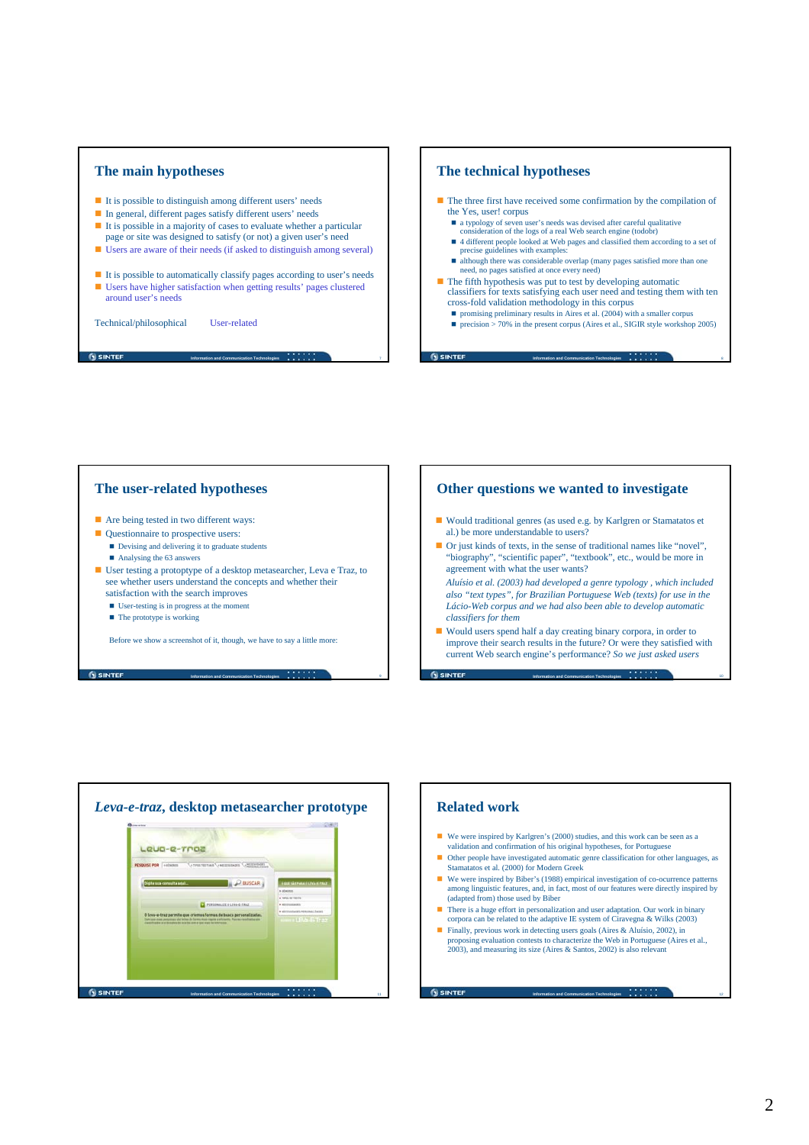

- It is possible to distinguish among different users' needs
- In general, different pages satisfy different users' needs
- $\blacksquare$  It is possible in a majority of cases to evaluate whether a particular page or site was designed to satisfy (or not) a given user's need
- Users are aware of their needs (if asked to distinguish among several)
- It is possible to automatically classify pages according to user's needs Users have higher satisfaction when getting results' pages clustered around user's needs

**Information and Communication Technologies** *a a a a a a a a a* 

**Information and Communication Technologies** 9

Technical/philosophical User-related

**G** SINTEF

**G** SINTEF

## **The technical hypotheses**

**G** SINTEF

- $\blacksquare$  The three first have received some confirmation by the compilation of the Yes, user! corpus
	- $\blacksquare$  a typology of seven user's needs was devised after careful qualitative
	- consideration of the logs of a real Web search engine (todobr)<br>■ 4 different people looked at Web pages and classified them according to a set of precise guidelines with examples
	- although there was considerable overlap (many pages satisfied more than one need, no pages satisfied at once every need)
- $\blacksquare$  The fifth hypothesis was put to test by developing automatic classifiers for texts satisfying each user need and testing them with ten cross-fold validation methodology in this corpus
	- promising preliminary results in Aires et al.  $(2004)$  with a smaller corpus
	- **precision > 70% in the present corpus (Aires et al., SIGIR style workshop 2005)**

**Information and Communication Technologies** 8

### **The user-related hypotheses**

- Are being tested in two different ways:
- Questionnaire to prospective users:
	- Devising and delivering it to graduate students
	- Analysing the 63 answers
- User testing a protoptype of a desktop metasearcher, Leva e Traz, to see whether users understand the concepts and whether their satisfaction with the search improves
	- User-testing is in progress at the moment
	- The prototype is working

Before we show a screenshot of it, though, we have to say a little more:

## **Other questions we wanted to investigate**

- Would traditional genres (as used e.g. by Karlgren or Stamatatos et al.) be more understandable to users?
- Or just kinds of texts, in the sense of traditional names like "novel", "biography", "scientific paper", "textbook", etc., would be more in agreement with what the user wants?

*Aluísio et al. (2003) had developed a genre typology , which included also "text types", for Brazilian Portuguese Web (texts) for use in the Lácio-Web corpus and we had also been able to develop automatic classifiers for them*

 Would users spend half a day creating binary corpora, in order to improve their search results in the future? Or were they satisfied with current Web search engine's performance? *So we just asked users*

**Information and Communication Technologies 10 10 10 10 10 10 10** 

**Information and Communication Technologies** 1 **12** 12



### **Related work**

**GISINTEE** 

- We were inspired by Karlgren's (2000) studies, and this work can be seen as a validation and confirmation of his original hypotheses, for Portugues
- Other people have investigated automatic genre classification for other languages, as Stamatatos et al. (2000) for Modern Greek
- We were inspired by Biber's (1988) empirical investigation of co-ocurrence patterns among linguistic features, and, in fact, most of our features were directly inspired by (adapted from) those used by Biber
- $\blacksquare$  There is a huge effort in personalization and user adaptation. Our work in binary corpora can be related to the adaptive IE system of Ciravegna & Wilks (2003)
- Finally, previous work in detecting users goals (Aires & Aluísio, 2002), in proposing evaluation contests to characterize the Web in Portuguese (Aires et al., 2003), and measuring its size (Aires & Santos, 2002) is also relevant